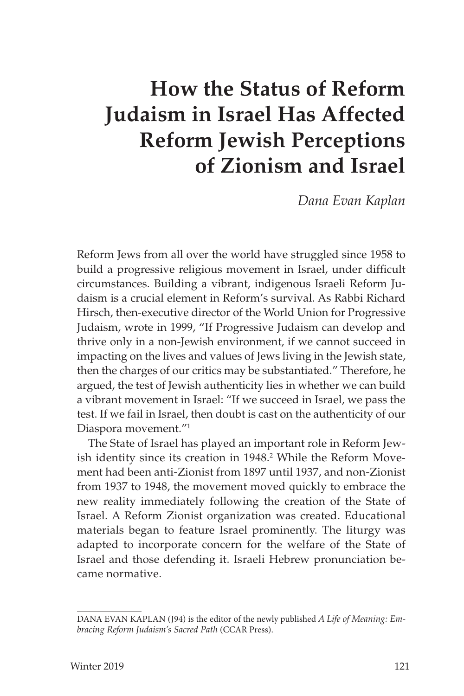# **How the Status of Reform Judaism in Israel Has Affected Reform Jewish Perceptions of Zionism and Israel**

*Dana Evan Kaplan*

Reform Jews from all over the world have struggled since 1958 to build a progressive religious movement in Israel, under difficult circumstances. Building a vibrant, indigenous Israeli Reform Judaism is a crucial element in Reform's survival. As Rabbi Richard Hirsch, then-executive director of the World Union for Progressive Judaism, wrote in 1999, "If Progressive Judaism can develop and thrive only in a non-Jewish environment, if we cannot succeed in impacting on the lives and values of Jews living in the Jewish state, then the charges of our critics may be substantiated." Therefore, he argued, the test of Jewish authenticity lies in whether we can build a vibrant movement in Israel: "If we succeed in Israel, we pass the test. If we fail in Israel, then doubt is cast on the authenticity of our Diaspora movement."<sup>1</sup>

The State of Israel has played an important role in Reform Jewish identity since its creation in 1948.<sup>2</sup> While the Reform Movement had been anti-Zionist from 1897 until 1937, and non-Zionist from 1937 to 1948, the movement moved quickly to embrace the new reality immediately following the creation of the State of Israel. A Reform Zionist organization was created. Educational materials began to feature Israel prominently. The liturgy was adapted to incorporate concern for the welfare of the State of Israel and those defending it. Israeli Hebrew pronunciation became normative.

DANA EVAN KAPLAN (J94) is the editor of the newly published *A Life of Meaning: Embracing Reform Judaism's Sacred Path* (CCAR Press).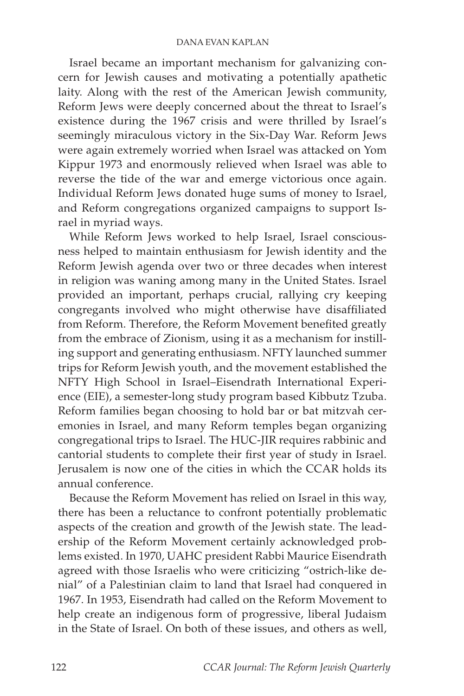Israel became an important mechanism for galvanizing concern for Jewish causes and motivating a potentially apathetic laity. Along with the rest of the American Jewish community, Reform Jews were deeply concerned about the threat to Israel's existence during the 1967 crisis and were thrilled by Israel's seemingly miraculous victory in the Six-Day War. Reform Jews were again extremely worried when Israel was attacked on Yom Kippur 1973 and enormously relieved when Israel was able to reverse the tide of the war and emerge victorious once again. Individual Reform Jews donated huge sums of money to Israel, and Reform congregations organized campaigns to support Israel in myriad ways.

While Reform Jews worked to help Israel, Israel consciousness helped to maintain enthusiasm for Jewish identity and the Reform Jewish agenda over two or three decades when interest in religion was waning among many in the United States. Israel provided an important, perhaps crucial, rallying cry keeping congregants involved who might otherwise have disaffiliated from Reform. Therefore, the Reform Movement benefited greatly from the embrace of Zionism, using it as a mechanism for instilling support and generating enthusiasm. NFTY launched summer trips for Reform Jewish youth, and the movement established the NFTY High School in Israel–Eisendrath International Experience (EIE), a semester-long study program based Kibbutz Tzuba. Reform families began choosing to hold bar or bat mitzvah ceremonies in Israel, and many Reform temples began organizing congregational trips to Israel. The HUC-JIR requires rabbinic and cantorial students to complete their first year of study in Israel. Jerusalem is now one of the cities in which the CCAR holds its annual conference.

Because the Reform Movement has relied on Israel in this way, there has been a reluctance to confront potentially problematic aspects of the creation and growth of the Jewish state. The leadership of the Reform Movement certainly acknowledged problems existed. In 1970, UAHC president Rabbi Maurice Eisendrath agreed with those Israelis who were criticizing "ostrich-like denial" of a Palestinian claim to land that Israel had conquered in 1967. In 1953, Eisendrath had called on the Reform Movement to help create an indigenous form of progressive, liberal Judaism in the State of Israel. On both of these issues, and others as well,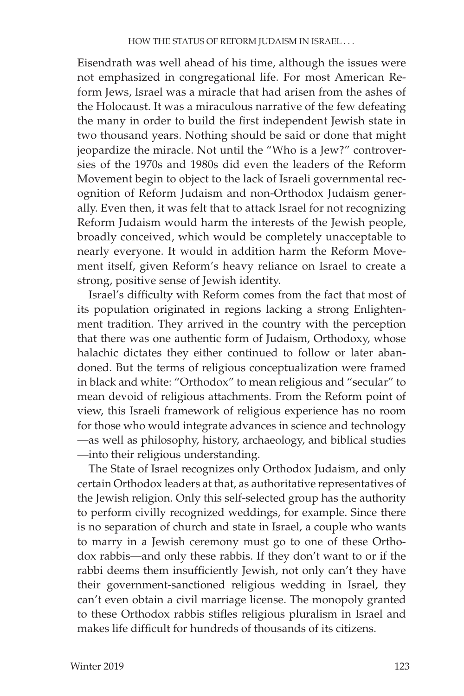Eisendrath was well ahead of his time, although the issues were not emphasized in congregational life. For most American Reform Jews, Israel was a miracle that had arisen from the ashes of the Holocaust. It was a miraculous narrative of the few defeating the many in order to build the first independent Jewish state in two thousand years. Nothing should be said or done that might jeopardize the miracle. Not until the "Who is a Jew?" controversies of the 1970s and 1980s did even the leaders of the Reform Movement begin to object to the lack of Israeli governmental recognition of Reform Judaism and non-Orthodox Judaism generally. Even then, it was felt that to attack Israel for not recognizing Reform Judaism would harm the interests of the Jewish people, broadly conceived, which would be completely unacceptable to nearly everyone. It would in addition harm the Reform Movement itself, given Reform's heavy reliance on Israel to create a strong, positive sense of Jewish identity.

Israel's difficulty with Reform comes from the fact that most of its population originated in regions lacking a strong Enlightenment tradition. They arrived in the country with the perception that there was one authentic form of Judaism, Orthodoxy, whose halachic dictates they either continued to follow or later abandoned. But the terms of religious conceptualization were framed in black and white: "Orthodox" to mean religious and "secular" to mean devoid of religious attachments. From the Reform point of view, this Israeli framework of religious experience has no room for those who would integrate advances in science and technology —as well as philosophy, history, archaeology, and biblical studies —into their religious understanding.

The State of Israel recognizes only Orthodox Judaism, and only certain Orthodox leaders at that, as authoritative representatives of the Jewish religion. Only this self-selected group has the authority to perform civilly recognized weddings, for example. Since there is no separation of church and state in Israel, a couple who wants to marry in a Jewish ceremony must go to one of these Orthodox rabbis—and only these rabbis. If they don't want to or if the rabbi deems them insufficiently Jewish, not only can't they have their government-sanctioned religious wedding in Israel, they can't even obtain a civil marriage license. The monopoly granted to these Orthodox rabbis stifles religious pluralism in Israel and makes life difficult for hundreds of thousands of its citizens.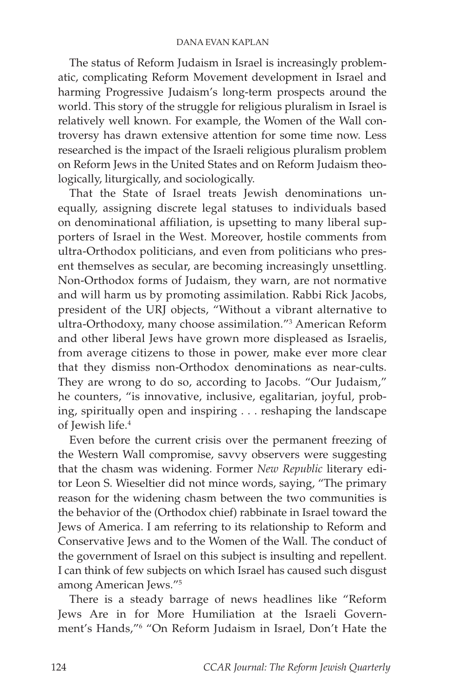The status of Reform Judaism in Israel is increasingly problematic, complicating Reform Movement development in Israel and harming Progressive Judaism's long-term prospects around the world. This story of the struggle for religious pluralism in Israel is relatively well known. For example, the Women of the Wall controversy has drawn extensive attention for some time now. Less researched is the impact of the Israeli religious pluralism problem on Reform Jews in the United States and on Reform Judaism theologically, liturgically, and sociologically.

That the State of Israel treats Jewish denominations unequally, assigning discrete legal statuses to individuals based on denominational affiliation, is upsetting to many liberal supporters of Israel in the West. Moreover, hostile comments from ultra-Orthodox politicians, and even from politicians who present themselves as secular, are becoming increasingly unsettling. Non-Orthodox forms of Judaism, they warn, are not normative and will harm us by promoting assimilation. Rabbi Rick Jacobs, president of the URJ objects, "Without a vibrant alternative to ultra-Orthodoxy, many choose assimilation."3 American Reform and other liberal Jews have grown more displeased as Israelis, from average citizens to those in power, make ever more clear that they dismiss non-Orthodox denominations as near-cults. They are wrong to do so, according to Jacobs. "Our Judaism," he counters, "is innovative, inclusive, egalitarian, joyful, probing, spiritually open and inspiring . . . reshaping the landscape of Jewish life.<sup>4</sup>

Even before the current crisis over the permanent freezing of the Western Wall compromise, savvy observers were suggesting that the chasm was widening. Former *New Republic* literary editor Leon S. Wieseltier did not mince words, saying, "The primary reason for the widening chasm between the two communities is the behavior of the (Orthodox chief) rabbinate in Israel toward the Jews of America. I am referring to its relationship to Reform and Conservative Jews and to the Women of the Wall. The conduct of the government of Israel on this subject is insulting and repellent. I can think of few subjects on which Israel has caused such disgust among American Jews."5

There is a steady barrage of news headlines like "Reform Jews Are in for More Humiliation at the Israeli Government's Hands,"6 "On Reform Judaism in Israel, Don't Hate the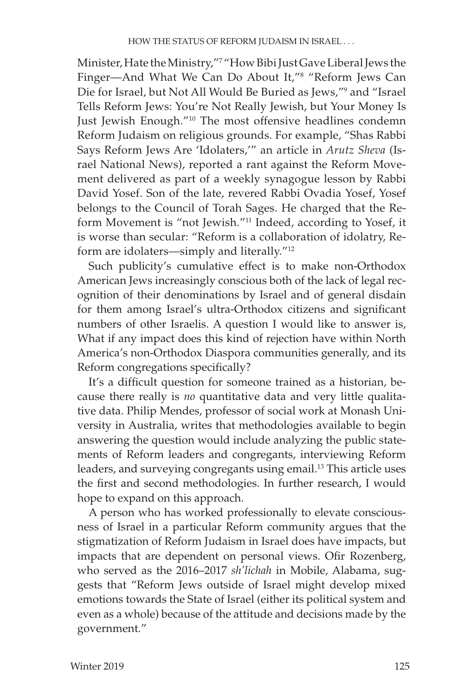Minister, Hate the Ministry,"7 "How Bibi Just Gave Liberal Jews the Finger—And What We Can Do About It,"8 "Reform Jews Can Die for Israel, but Not All Would Be Buried as Jews,"9 and "Israel Tells Reform Jews: You're Not Really Jewish, but Your Money Is Just Jewish Enough."10 The most offensive headlines condemn Reform Judaism on religious grounds. For example, "Shas Rabbi Says Reform Jews Are 'Idolaters,'" an article in *Arutz Sheva* (Israel National News), reported a rant against the Reform Movement delivered as part of a weekly synagogue lesson by Rabbi David Yosef. Son of the late, revered Rabbi Ovadia Yosef, Yosef belongs to the Council of Torah Sages. He charged that the Reform Movement is "not Jewish."11 Indeed, according to Yosef, it is worse than secular: "Reform is a collaboration of idolatry, Reform are idolaters—simply and literally."12

Such publicity's cumulative effect is to make non-Orthodox American Jews increasingly conscious both of the lack of legal recognition of their denominations by Israel and of general disdain for them among Israel's ultra-Orthodox citizens and significant numbers of other Israelis. A question I would like to answer is, What if any impact does this kind of rejection have within North America's non-Orthodox Diaspora communities generally, and its Reform congregations specifically?

It's a difficult question for someone trained as a historian, because there really is *no* quantitative data and very little qualitative data. Philip Mendes, professor of social work at Monash University in Australia, writes that methodologies available to begin answering the question would include analyzing the public statements of Reform leaders and congregants, interviewing Reform leaders, and surveying congregants using email.<sup>13</sup> This article uses the first and second methodologies. In further research, I would hope to expand on this approach.

A person who has worked professionally to elevate consciousness of Israel in a particular Reform community argues that the stigmatization of Reform Judaism in Israel does have impacts, but impacts that are dependent on personal views. Ofir Rozenberg, who served as the 2016–2017 *sh'lichah* in Mobile, Alabama, suggests that "Reform Jews outside of Israel might develop mixed emotions towards the State of Israel (either its political system and even as a whole) because of the attitude and decisions made by the government."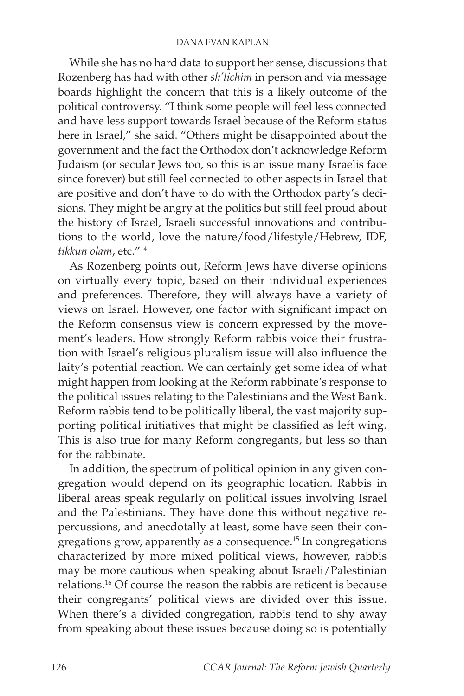While she has no hard data to support her sense, discussions that Rozenberg has had with other *sh'lichim* in person and via message boards highlight the concern that this is a likely outcome of the political controversy. "I think some people will feel less connected and have less support towards Israel because of the Reform status here in Israel," she said. "Others might be disappointed about the government and the fact the Orthodox don't acknowledge Reform Judaism (or secular Jews too, so this is an issue many Israelis face since forever) but still feel connected to other aspects in Israel that are positive and don't have to do with the Orthodox party's decisions. They might be angry at the politics but still feel proud about the history of Israel, Israeli successful innovations and contributions to the world, love the nature/food/lifestyle/Hebrew, IDF, *tikkun olam*, etc."14

As Rozenberg points out, Reform Jews have diverse opinions on virtually every topic, based on their individual experiences and preferences. Therefore, they will always have a variety of views on Israel. However, one factor with significant impact on the Reform consensus view is concern expressed by the movement's leaders. How strongly Reform rabbis voice their frustration with Israel's religious pluralism issue will also influence the laity's potential reaction. We can certainly get some idea of what might happen from looking at the Reform rabbinate's response to the political issues relating to the Palestinians and the West Bank. Reform rabbis tend to be politically liberal, the vast majority supporting political initiatives that might be classified as left wing. This is also true for many Reform congregants, but less so than for the rabbinate.

In addition, the spectrum of political opinion in any given congregation would depend on its geographic location. Rabbis in liberal areas speak regularly on political issues involving Israel and the Palestinians. They have done this without negative repercussions, and anecdotally at least, some have seen their congregations grow, apparently as a consequence.15 In congregations characterized by more mixed political views, however, rabbis may be more cautious when speaking about Israeli/Palestinian relations.16 Of course the reason the rabbis are reticent is because their congregants' political views are divided over this issue. When there's a divided congregation, rabbis tend to shy away from speaking about these issues because doing so is potentially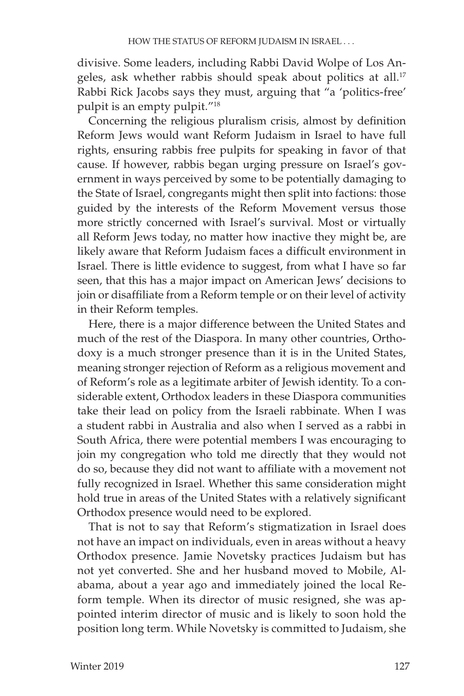divisive. Some leaders, including Rabbi David Wolpe of Los Angeles, ask whether rabbis should speak about politics at all.<sup>17</sup> Rabbi Rick Jacobs says they must, arguing that "a 'politics-free' pulpit is an empty pulpit."18

Concerning the religious pluralism crisis, almost by definition Reform Jews would want Reform Judaism in Israel to have full rights, ensuring rabbis free pulpits for speaking in favor of that cause. If however, rabbis began urging pressure on Israel's government in ways perceived by some to be potentially damaging to the State of Israel, congregants might then split into factions: those guided by the interests of the Reform Movement versus those more strictly concerned with Israel's survival. Most or virtually all Reform Jews today, no matter how inactive they might be, are likely aware that Reform Judaism faces a difficult environment in Israel. There is little evidence to suggest, from what I have so far seen, that this has a major impact on American Jews' decisions to join or disaffiliate from a Reform temple or on their level of activity in their Reform temples.

Here, there is a major difference between the United States and much of the rest of the Diaspora. In many other countries, Orthodoxy is a much stronger presence than it is in the United States, meaning stronger rejection of Reform as a religious movement and of Reform's role as a legitimate arbiter of Jewish identity. To a considerable extent, Orthodox leaders in these Diaspora communities take their lead on policy from the Israeli rabbinate. When I was a student rabbi in Australia and also when I served as a rabbi in South Africa, there were potential members I was encouraging to join my congregation who told me directly that they would not do so, because they did not want to affiliate with a movement not fully recognized in Israel. Whether this same consideration might hold true in areas of the United States with a relatively significant Orthodox presence would need to be explored.

That is not to say that Reform's stigmatization in Israel does not have an impact on individuals, even in areas without a heavy Orthodox presence. Jamie Novetsky practices Judaism but has not yet converted. She and her husband moved to Mobile, Alabama, about a year ago and immediately joined the local Reform temple. When its director of music resigned, she was appointed interim director of music and is likely to soon hold the position long term. While Novetsky is committed to Judaism, she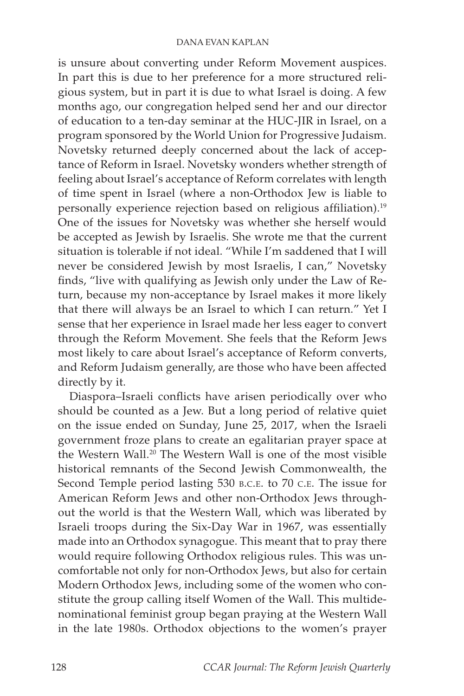is unsure about converting under Reform Movement auspices. In part this is due to her preference for a more structured religious system, but in part it is due to what Israel is doing. A few months ago, our congregation helped send her and our director of education to a ten-day seminar at the HUC-JIR in Israel, on a program sponsored by the World Union for Progressive Judaism. Novetsky returned deeply concerned about the lack of acceptance of Reform in Israel. Novetsky wonders whether strength of feeling about Israel's acceptance of Reform correlates with length of time spent in Israel (where a non-Orthodox Jew is liable to personally experience rejection based on religious affiliation).19 One of the issues for Novetsky was whether she herself would be accepted as Jewish by Israelis. She wrote me that the current situation is tolerable if not ideal. "While I'm saddened that I will never be considered Jewish by most Israelis, I can," Novetsky finds, "live with qualifying as Jewish only under the Law of Return, because my non-acceptance by Israel makes it more likely that there will always be an Israel to which I can return." Yet I sense that her experience in Israel made her less eager to convert through the Reform Movement. She feels that the Reform Jews most likely to care about Israel's acceptance of Reform converts, and Reform Judaism generally, are those who have been affected directly by it.

Diaspora–Israeli conflicts have arisen periodically over who should be counted as a Jew. But a long period of relative quiet on the issue ended on Sunday, June 25, 2017, when the Israeli government froze plans to create an egalitarian prayer space at the Western Wall.20 The Western Wall is one of the most visible historical remnants of the Second Jewish Commonwealth, the Second Temple period lasting 530 b.c.e. to 70 c.e. The issue for American Reform Jews and other non-Orthodox Jews throughout the world is that the Western Wall, which was liberated by Israeli troops during the Six-Day War in 1967, was essentially made into an Orthodox synagogue. This meant that to pray there would require following Orthodox religious rules. This was uncomfortable not only for non-Orthodox Jews, but also for certain Modern Orthodox Jews, including some of the women who constitute the group calling itself Women of the Wall. This multidenominational feminist group began praying at the Western Wall in the late 1980s. Orthodox objections to the women's prayer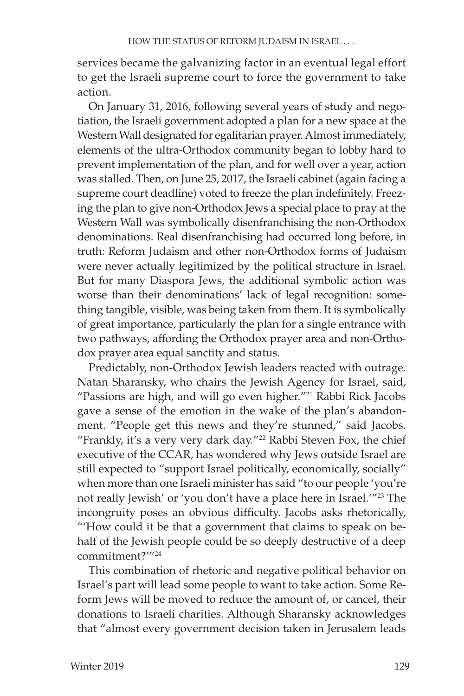services became the galvanizing factor in an eventual legal effort to get the Israeli supreme court to force the government to take action.

On January 31, 2016, following several years of study and negotiation, the Israeli government adopted a plan for a new space at the Western Wall designated for egalitarian prayer. Almost immediately, elements of the ultra-Orthodox community began to lobby hard to prevent implementation of the plan, and for well over a year, action was stalled. Then, on June 25, 2017, the Israeli cabinet (again facing a supreme court deadline) voted to freeze the plan indefinitely. Freezing the plan to give non-Orthodox Jews a special place to pray at the Western Wall was symbolically disenfranchising the non-Orthodox denominations. Real disenfranchising had occurred long before, in truth: Reform Judaism and other non-Orthodox forms of Judaism were never actually legitimized by the political structure in Israel. But for many Diaspora Jews, the additional symbolic action was worse than their denominations' lack of legal recognition: something tangible, visible, was being taken from them. It is symbolically of great importance, particularly the plan for a single entrance with two pathways, affording the Orthodox prayer area and non-Orthodox prayer area equal sanctity and status.

Predictably, non-Orthodox Jewish leaders reacted with outrage. Natan Sharansky, who chairs the Jewish Agency for Israel, said, "Passions are high, and will go even higher."<sup>21</sup> Rabbi Rick Jacobs gave a sense of the emotion in the wake of the plan's abandonment. "People get this news and they're stunned," said Jacobs. "Frankly, it's a very very dark day."<sup>22</sup> Rabbi Steven Fox, the chief executive of the CCAR, has wondered why Jews outside Israel are still expected to "support Israel politically, economically, socially" when more than one Israeli minister has said "to our people 'you're not really Jewish' or 'you don't have a place here in Israel."<sup>23</sup> The incongruity poses an obvious difficulty. Jacobs asks rhetorically, "'How could it be that a government that claims to speak on behalf of the Jewish people could be so deeply destructive of a deep commitment?'"24

This combination of rhetoric and negative political behavior on Israel's part will lead some people to want to take action. Some Reform Jews will be moved to reduce the amount of, or cancel, their donations to Israeli charities. Although Sharansky acknowledges that "almost every government decision taken in Jerusalem leads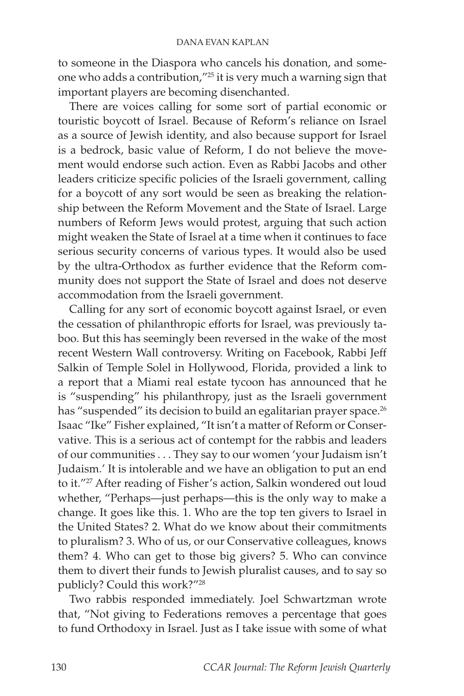to someone in the Diaspora who cancels his donation, and someone who adds a contribution,"25 it is very much a warning sign that important players are becoming disenchanted.

There are voices calling for some sort of partial economic or touristic boycott of Israel. Because of Reform's reliance on Israel as a source of Jewish identity, and also because support for Israel is a bedrock, basic value of Reform, I do not believe the movement would endorse such action. Even as Rabbi Jacobs and other leaders criticize specific policies of the Israeli government, calling for a boycott of any sort would be seen as breaking the relationship between the Reform Movement and the State of Israel. Large numbers of Reform Jews would protest, arguing that such action might weaken the State of Israel at a time when it continues to face serious security concerns of various types. It would also be used by the ultra-Orthodox as further evidence that the Reform community does not support the State of Israel and does not deserve accommodation from the Israeli government.

Calling for any sort of economic boycott against Israel, or even the cessation of philanthropic efforts for Israel, was previously taboo. But this has seemingly been reversed in the wake of the most recent Western Wall controversy. Writing on Facebook, Rabbi Jeff Salkin of Temple Solel in Hollywood, Florida, provided a link to a report that a Miami real estate tycoon has announced that he is "suspending" his philanthropy, just as the Israeli government has "suspended" its decision to build an egalitarian prayer space.<sup>26</sup> Isaac "Ike" Fisher explained, "It isn't a matter of Reform or Conservative. This is a serious act of contempt for the rabbis and leaders of our communities . . . They say to our women 'your Judaism isn't Judaism.' It is intolerable and we have an obligation to put an end to it."<sup>27</sup> After reading of Fisher's action, Salkin wondered out loud whether, "Perhaps—just perhaps—this is the only way to make a change. It goes like this. 1. Who are the top ten givers to Israel in the United States? 2. What do we know about their commitments to pluralism? 3. Who of us, or our Conservative colleagues, knows them? 4. Who can get to those big givers? 5. Who can convince them to divert their funds to Jewish pluralist causes, and to say so publicly? Could this work?"28

Two rabbis responded immediately. Joel Schwartzman wrote that, "Not giving to Federations removes a percentage that goes to fund Orthodoxy in Israel. Just as I take issue with some of what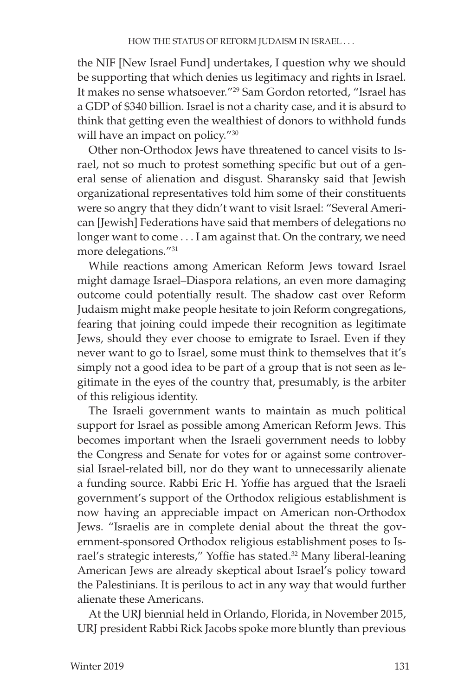the NIF [New Israel Fund] undertakes, I question why we should be supporting that which denies us legitimacy and rights in Israel. It makes no sense whatsoever."29 Sam Gordon retorted, "Israel has a GDP of \$340 billion. Israel is not a charity case, and it is absurd to think that getting even the wealthiest of donors to withhold funds will have an impact on policy."<sup>30</sup>

Other non-Orthodox Jews have threatened to cancel visits to Israel, not so much to protest something specific but out of a general sense of alienation and disgust. Sharansky said that Jewish organizational representatives told him some of their constituents were so angry that they didn't want to visit Israel: "Several American [Jewish] Federations have said that members of delegations no longer want to come . . . I am against that. On the contrary, we need more delegations."31

While reactions among American Reform Jews toward Israel might damage Israel–Diaspora relations, an even more damaging outcome could potentially result. The shadow cast over Reform Judaism might make people hesitate to join Reform congregations, fearing that joining could impede their recognition as legitimate Jews, should they ever choose to emigrate to Israel. Even if they never want to go to Israel, some must think to themselves that it's simply not a good idea to be part of a group that is not seen as legitimate in the eyes of the country that, presumably, is the arbiter of this religious identity.

The Israeli government wants to maintain as much political support for Israel as possible among American Reform Jews. This becomes important when the Israeli government needs to lobby the Congress and Senate for votes for or against some controversial Israel-related bill, nor do they want to unnecessarily alienate a funding source. Rabbi Eric H. Yoffie has argued that the Israeli government's support of the Orthodox religious establishment is now having an appreciable impact on American non-Orthodox Jews. "Israelis are in complete denial about the threat the government-sponsored Orthodox religious establishment poses to Israel's strategic interests," Yoffie has stated.<sup>32</sup> Many liberal-leaning American Jews are already skeptical about Israel's policy toward the Palestinians. It is perilous to act in any way that would further alienate these Americans.

At the URJ biennial held in Orlando, Florida, in November 2015, URJ president Rabbi Rick Jacobs spoke more bluntly than previous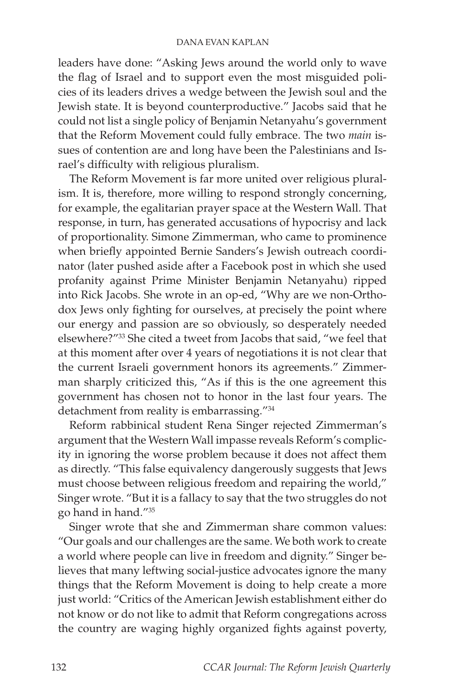leaders have done: "Asking Jews around the world only to wave the flag of Israel and to support even the most misguided policies of its leaders drives a wedge between the Jewish soul and the Jewish state. It is beyond counterproductive." Jacobs said that he could not list a single policy of Benjamin Netanyahu's government that the Reform Movement could fully embrace. The two *main* issues of contention are and long have been the Palestinians and Israel's difficulty with religious pluralism.

The Reform Movement is far more united over religious pluralism. It is, therefore, more willing to respond strongly concerning, for example, the egalitarian prayer space at the Western Wall. That response, in turn, has generated accusations of hypocrisy and lack of proportionality. Simone Zimmerman, who came to prominence when briefly appointed Bernie Sanders's Jewish outreach coordinator (later pushed aside after a Facebook post in which she used profanity against Prime Minister Benjamin Netanyahu) ripped into Rick Jacobs. She wrote in an op-ed, "Why are we non-Orthodox Jews only fighting for ourselves, at precisely the point where our energy and passion are so obviously, so desperately needed elsewhere?"33 She cited a tweet from Jacobs that said, "we feel that at this moment after over 4 years of negotiations it is not clear that the current Israeli government honors its agreements." Zimmerman sharply criticized this, "As if this is the one agreement this government has chosen not to honor in the last four years. The detachment from reality is embarrassing."34

Reform rabbinical student Rena Singer rejected Zimmerman's argument that the Western Wall impasse reveals Reform's complicity in ignoring the worse problem because it does not affect them as directly. "This false equivalency dangerously suggests that Jews must choose between religious freedom and repairing the world," Singer wrote. "But it is a fallacy to say that the two struggles do not go hand in hand."35

Singer wrote that she and Zimmerman share common values: "Our goals and our challenges are the same. We both work to create a world where people can live in freedom and dignity." Singer believes that many leftwing social-justice advocates ignore the many things that the Reform Movement is doing to help create a more just world: "Critics of the American Jewish establishment either do not know or do not like to admit that Reform congregations across the country are waging highly organized fights against poverty,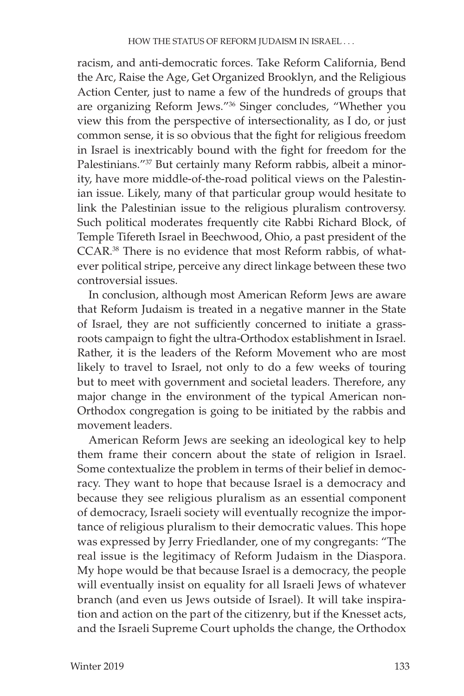racism, and anti-democratic forces. Take Reform California, Bend the Arc, Raise the Age, Get Organized Brooklyn, and the Religious Action Center, just to name a few of the hundreds of groups that are organizing Reform Jews."36 Singer concludes, "Whether you view this from the perspective of intersectionality, as I do, or just common sense, it is so obvious that the fight for religious freedom in Israel is inextricably bound with the fight for freedom for the Palestinians."37 But certainly many Reform rabbis, albeit a minority, have more middle-of-the-road political views on the Palestinian issue. Likely, many of that particular group would hesitate to link the Palestinian issue to the religious pluralism controversy. Such political moderates frequently cite Rabbi Richard Block, of Temple Tifereth Israel in Beechwood, Ohio, a past president of the CCAR.38 There is no evidence that most Reform rabbis, of whatever political stripe, perceive any direct linkage between these two controversial issues.

In conclusion, although most American Reform Jews are aware that Reform Judaism is treated in a negative manner in the State of Israel, they are not sufficiently concerned to initiate a grassroots campaign to fight the ultra-Orthodox establishment in Israel. Rather, it is the leaders of the Reform Movement who are most likely to travel to Israel, not only to do a few weeks of touring but to meet with government and societal leaders. Therefore, any major change in the environment of the typical American non-Orthodox congregation is going to be initiated by the rabbis and movement leaders.

American Reform Jews are seeking an ideological key to help them frame their concern about the state of religion in Israel. Some contextualize the problem in terms of their belief in democracy. They want to hope that because Israel is a democracy and because they see religious pluralism as an essential component of democracy, Israeli society will eventually recognize the importance of religious pluralism to their democratic values. This hope was expressed by Jerry Friedlander, one of my congregants: "The real issue is the legitimacy of Reform Judaism in the Diaspora. My hope would be that because Israel is a democracy, the people will eventually insist on equality for all Israeli Jews of whatever branch (and even us Jews outside of Israel). It will take inspiration and action on the part of the citizenry, but if the Knesset acts, and the Israeli Supreme Court upholds the change, the Orthodox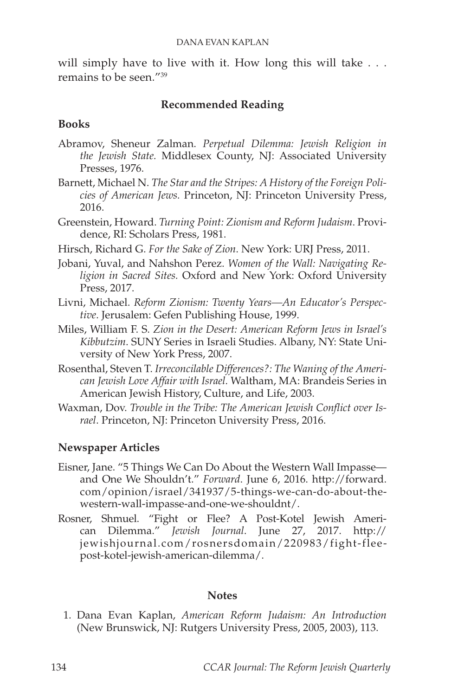will simply have to live with it. How long this will take . . . remains to be seen."39

### **Recommended Reading**

### **Books**

- Abramov, Sheneur Zalman. *Perpetual Dilemma: Jewish Religion in the Jewish State.* Middlesex County, NJ: Associated University Presses, 1976.
- Barnett, Michael N. *The Star and the Stripes: A History of the Foreign Policies of American Jews.* Princeton, NJ: Princeton University Press, 2016.
- Greenstein, Howard. *Turning Point: Zionism and Reform Judaism*. Providence, RI: Scholars Press, 1981.
- Hirsch, Richard G. *For the Sake of Zion*. New York: URJ Press, 2011.
- Jobani, Yuval, and Nahshon Perez. *Women of the Wall: Navigating Religion in Sacred Sites.* Oxford and New York: Oxford University Press, 2017.
- Livni, Michael. *Reform Zionism: Twenty Years—An Educator's Perspective*. Jerusalem: Gefen Publishing House, 1999.
- Miles, William F. S. *Zion in the Desert: American Reform Jews in Israel's Kibbutzim*. SUNY Series in Israeli Studies. Albany, NY: State University of New York Press, 2007.
- Rosenthal, Steven T. *Irreconcilable Differences?: The Waning of the American Jewish Love Affair with Israel.* Waltham, MA: Brandeis Series in American Jewish History, Culture, and Life, 2003.
- Waxman, Dov. *Trouble in the Tribe: The American Jewish Conflict over Israel*. Princeton, NJ: Princeton University Press, 2016.

## **Newspaper Articles**

- Eisner, Jane. "5 Things We Can Do About the Western Wall Impasse and One We Shouldn't." *Forward*. June 6, 2016. http://forward. com/opinion/israel/341937/5-things-we-can-do-about-thewestern-wall-impasse-and-one-we-shouldnt/.
- Rosner, Shmuel. "Fight or Flee? A Post-Kotel Jewish American Dilemma." *Jewish Journal*. June 27, 2017. http:// jewishjournal.com/rosnersdomain/220983/fight-fleepost-kotel-jewish-american-dilemma/.

#### **Notes**

1. Dana Evan Kaplan, *American Reform Judaism: An Introduction* (New Brunswick, NJ: Rutgers University Press, 2005, 2003), 113.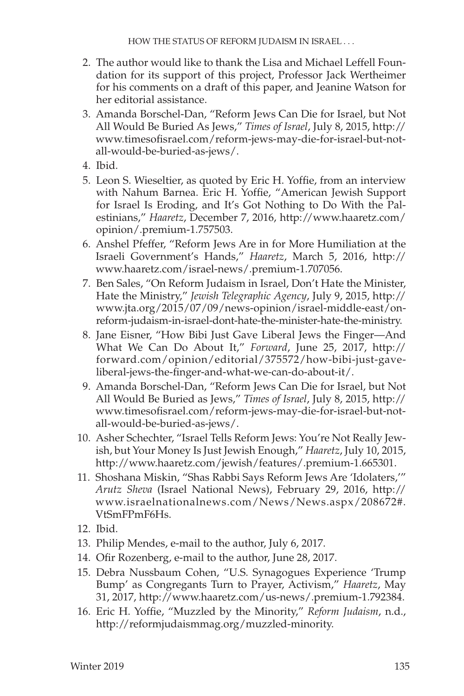- 2. The author would like to thank the Lisa and Michael Leffell Foundation for its support of this project, Professor Jack Wertheimer for his comments on a draft of this paper, and Jeanine Watson for her editorial assistance.
- 3. Amanda Borschel-Dan, "Reform Jews Can Die for Israel, but Not All Would Be Buried As Jews," *Times of Israel*, July 8, 2015, http:// www.timesofisrael.com/reform-jews-may-die-for-israel-but-notall-would-be-buried-as-jews/.
- 4. Ibid.
- 5. Leon S. Wieseltier, as quoted by Eric H. Yoffie, from an interview with Nahum Barnea. Eric H. Yoffie, "American Jewish Support for Israel Is Eroding, and It's Got Nothing to Do With the Palestinians," *Haaretz*, December 7, 2016, http://www.haaretz.com/ opinion/.premium-1.757503.
- 6. Anshel Pfeffer, "Reform Jews Are in for More Humiliation at the Israeli Government's Hands," *Haaretz*, March 5, 2016, http:// www.haaretz.com/israel-news/.premium-1.707056.
- 7. Ben Sales, "On Reform Judaism in Israel, Don't Hate the Minister, Hate the Ministry," *Jewish Telegraphic Agency*, July 9, 2015, http:// www.jta.org/2015/07/09/news-opinion/israel-middle-east/onreform-judaism-in-israel-dont-hate-the-minister-hate-the-ministry.
- 8. Jane Eisner, "How Bibi Just Gave Liberal Jews the Finger—And What We Can Do About It," *Forward*, June 25, 2017, http:// forward.com/opinion/editorial/375572/how-bibi-just-gaveliberal-jews-the-finger-and-what-we-can-do-about-it/.
- 9. Amanda Borschel-Dan, "Reform Jews Can Die for Israel, but Not All Would Be Buried as Jews," *Times of Israel*, July 8, 2015, http:// www.timesofisrael.com/reform-jews-may-die-for-israel-but-notall-would-be-buried-as-jews/.
- 10. Asher Schechter, "Israel Tells Reform Jews: You're Not Really Jewish, but Your Money Is Just Jewish Enough," *Haaretz*, July 10, 2015, http://www.haaretz.com/jewish/features/.premium-1.665301.
- 11. Shoshana Miskin, "Shas Rabbi Says Reform Jews Are 'Idolaters,'" *Arutz Sheva* (Israel National News), February 29, 2016, http:// www.israelnationalnews.com/News/News.aspx/208672#. VtSmFPmF6Hs.
- 12. Ibid.
- 13. Philip Mendes, e-mail to the author, July 6, 2017.
- 14. Ofir Rozenberg, e-mail to the author, June 28, 2017.
- 15. Debra Nussbaum Cohen, "U.S. Synagogues Experience 'Trump Bump' as Congregants Turn to Prayer, Activism," *Haaretz*, May 31, 2017, http://www.haaretz.com/us-news/.premium-1.792384.
- 16. Eric H. Yoffie, "Muzzled by the Minority," *Reform Judaism*, n.d., http://reformjudaismmag.org/muzzled-minority.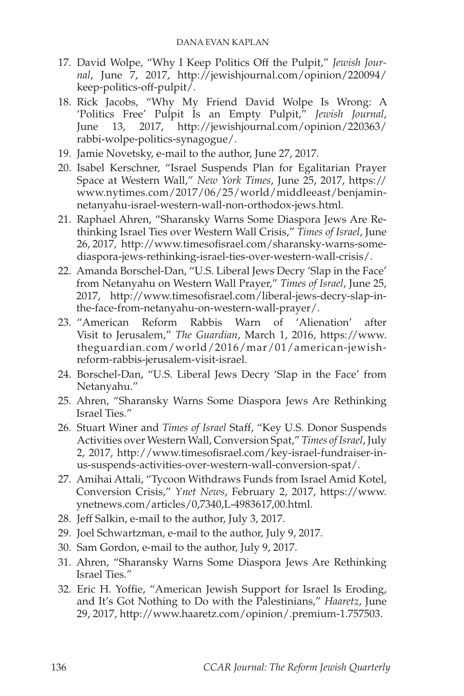- 17. David Wolpe, "Why I Keep Politics Off the Pulpit," *Jewish Journal*, June 7, 2017, http://jewishjournal.com/opinion/220094/ keep-politics-off-pulpit/.
- 18. Rick Jacobs, "Why My Friend David Wolpe Is Wrong: A 'Politics Free' Pulpit Is an Empty Pulpit," *Jewish Journal*, June 13, 2017, http://jewishjournal.com/opinion/220363/ rabbi-wolpe-politics-synagogue/.
- 19. Jamie Novetsky, e-mail to the author, June 27, 2017.
- 20. Isabel Kerschner, "Israel Suspends Plan for Egalitarian Prayer Space at Western Wall," *New York Times*, June 25, 2017, https:// www.nytimes.com/2017/06/25/world/middleeast/benjaminnetanyahu-israel-western-wall-non-orthodox-jews.html.
- 21. Raphael Ahren, "Sharansky Warns Some Diaspora Jews Are Rethinking Israel Ties over Western Wall Crisis," *Times of Israel*, June 26, 2017, http://www.timesofisrael.com/sharansky-warns-somediaspora-jews-rethinking-israel-ties-over-western-wall-crisis/.
- 22. Amanda Borschel-Dan, "U.S. Liberal Jews Decry 'Slap in the Face' from Netanyahu on Western Wall Prayer," *Times of Israel*, June 25, 2017, http://www.timesofisrael.com/liberal-jews-decry-slap-inthe-face-from-netanyahu-on-western-wall-prayer/.
- 23. "American Reform Rabbis Warn of 'Alienation' after Visit to Jerusalem," *The Guardian*, March 1, 2016, https://www. theguardian.com/world/2016/mar/01/american-jewishreform-rabbis-jerusalem-visit-israel.
- 24. Borschel-Dan, "U.S. Liberal Jews Decry 'Slap in the Face' from Netanyahu."
- 25. Ahren, "Sharansky Warns Some Diaspora Jews Are Rethinking Israel Ties."
- 26. Stuart Winer and *Times of Israel* Staff, "Key U.S. Donor Suspends Activities over Western Wall, Conversion Spat," *Times of Israel*, July 2, 2017, http://www.timesofisrael.com/key-israel-fundraiser-inus-suspends-activities-over-western-wall-conversion-spat/.
- 27. Amihai Attali, "Tycoon Withdraws Funds from Israel Amid Kotel, Conversion Crisis," *Ynet News*, February 2, 2017, https://www. ynetnews.com/articles/0,7340,L-4983617,00.html.
- 28. Jeff Salkin, e-mail to the author, July 3, 2017.
- 29. Joel Schwartzman, e-mail to the author, July 9, 2017.
- 30. Sam Gordon, e-mail to the author, July 9, 2017.
- 31. Ahren, "Sharansky Warns Some Diaspora Jews Are Rethinking Israel Ties."
- 32. Eric H. Yoffie, "American Jewish Support for Israel Is Eroding, and It's Got Nothing to Do with the Palestinians," *Haaretz*, June 29, 2017, http://www.haaretz.com/opinion/.premium-1.757503.